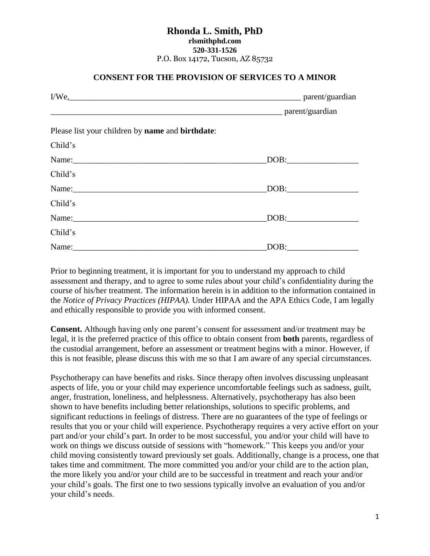## **Rhonda L. Smith, PhD rlsmithphd.com 520-331-1526** P.O. Box 14172, Tucson, AZ 85732

## **CONSENT FOR THE PROVISION OF SERVICES TO A MINOR**

| I/We, parent/guardian                                           |                                                                                                                                                                                                                                                                                                                                                                               |  |
|-----------------------------------------------------------------|-------------------------------------------------------------------------------------------------------------------------------------------------------------------------------------------------------------------------------------------------------------------------------------------------------------------------------------------------------------------------------|--|
|                                                                 |                                                                                                                                                                                                                                                                                                                                                                               |  |
| Please list your children by <b>name</b> and <b>birthdate</b> : |                                                                                                                                                                                                                                                                                                                                                                               |  |
| Child's                                                         |                                                                                                                                                                                                                                                                                                                                                                               |  |
| Name:                                                           | $\text{DOB:}\qquad \qquad \overbrace{\qquad \qquad }$                                                                                                                                                                                                                                                                                                                         |  |
| Child's                                                         |                                                                                                                                                                                                                                                                                                                                                                               |  |
| Name:                                                           | $\boxed{\text{DOB:}\n \begin{picture}(10,0) \label{picc} \put(0,0){\dashbox{0.5}(10,0){ }} \put(0,0){\dashbox{0.5}(10,0){ }} \put(15,0){\dashbox{0.5}(10,0){ }} \put(15,0){\dashbox{0.5}(10,0){ }} \put(15,0){\dashbox{0.5}(10,0){ }} \put(15,0){\dashbox{0.5}(10,0){ }} \put(15,0){\dashbox{0.5}(10,0){ }} \put(15,0){\dashbox{0.5}(10,0){ }} \put(15,0){\dashbox{0.5}(10,0$ |  |
| Child's                                                         |                                                                                                                                                                                                                                                                                                                                                                               |  |
|                                                                 | DOB:                                                                                                                                                                                                                                                                                                                                                                          |  |
| Child's                                                         |                                                                                                                                                                                                                                                                                                                                                                               |  |
| Name:                                                           | $\boxed{\text{DOB:}\qquad \qquad \qquad }$                                                                                                                                                                                                                                                                                                                                    |  |

Prior to beginning treatment, it is important for you to understand my approach to child assessment and therapy, and to agree to some rules about your child's confidentiality during the course of his/her treatment. The information herein is in addition to the information contained in the *Notice of Privacy Practices (HIPAA).* Under HIPAA and the APA Ethics Code, I am legally and ethically responsible to provide you with informed consent.

**Consent.** Although having only one parent's consent for assessment and/or treatment may be legal, it is the preferred practice of this office to obtain consent from **both** parents, regardless of the custodial arrangement, before an assessment or treatment begins with a minor. However, if this is not feasible, please discuss this with me so that I am aware of any special circumstances.

Psychotherapy can have benefits and risks. Since therapy often involves discussing unpleasant aspects of life, you or your child may experience uncomfortable feelings such as sadness, guilt, anger, frustration, loneliness, and helplessness. Alternatively, psychotherapy has also been shown to have benefits including better relationships, solutions to specific problems, and significant reductions in feelings of distress. There are no guarantees of the type of feelings or results that you or your child will experience. Psychotherapy requires a very active effort on your part and/or your child's part. In order to be most successful, you and/or your child will have to work on things we discuss outside of sessions with "homework." This keeps you and/or your child moving consistently toward previously set goals. Additionally, change is a process, one that takes time and commitment. The more committed you and/or your child are to the action plan, the more likely you and/or your child are to be successful in treatment and reach your and/or your child's goals. The first one to two sessions typically involve an evaluation of you and/or your child's needs.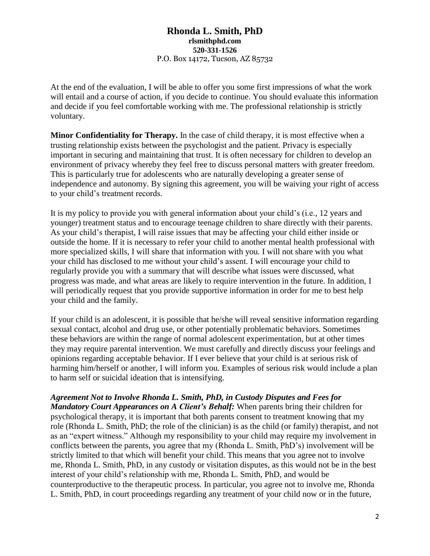## **Rhonda L. Smith, PhD rlsmithphd.com 520-331-1526** P.O. Box 14172, Tucson, AZ 85732

At the end of the evaluation, I will be able to offer you some first impressions of what the work will entail and a course of action, if you decide to continue. You should evaluate this information and decide if you feel comfortable working with me. The professional relationship is strictly voluntary.

**Minor Confidentiality for Therapy.** In the case of child therapy, it is most effective when a trusting relationship exists between the psychologist and the patient. Privacy is especially important in securing and maintaining that trust. It is often necessary for children to develop an environment of privacy whereby they feel free to discuss personal matters with greater freedom. This is particularly true for adolescents who are naturally developing a greater sense of independence and autonomy. By signing this agreement, you will be waiving your right of access to your child's treatment records.

It is my policy to provide you with general information about your child's (i.e., 12 years and younger) treatment status and to encourage teenage children to share directly with their parents. As your child's therapist, I will raise issues that may be affecting your child either inside or outside the home. If it is necessary to refer your child to another mental health professional with more specialized skills, I will share that information with you. I will not share with you what your child has disclosed to me without your child's assent. I will encourage your child to regularly provide you with a summary that will describe what issues were discussed, what progress was made, and what areas are likely to require intervention in the future. In addition, I will periodically request that you provide supportive information in order for me to best help your child and the family.

If your child is an adolescent, it is possible that he/she will reveal sensitive information regarding sexual contact, alcohol and drug use, or other potentially problematic behaviors. Sometimes these behaviors are within the range of normal adolescent experimentation, but at other times they may require parental intervention. We must carefully and directly discuss your feelings and opinions regarding acceptable behavior. If I ever believe that your child is at serious risk of harming him/herself or another, I will inform you. Examples of serious risk would include a plan to harm self or suicidal ideation that is intensifying.

*Agreement Not to Involve Rhonda L. Smith, PhD, in Custody Disputes and Fees for Mandatory Court Appearances on A Client's Behalf:* When parents bring their children for psychological therapy, it is important that both parents consent to treatment knowing that my role (Rhonda L. Smith, PhD; the role of the clinician) is as the child (or family) therapist, and not as an "expert witness." Although my responsibility to your child may require my involvement in conflicts between the parents, you agree that my (Rhonda L. Smith, PhD's) involvement will be strictly limited to that which will benefit your child. This means that you agree not to involve me, Rhonda L. Smith, PhD, in any custody or visitation disputes, as this would not be in the best interest of your child's relationship with me, Rhonda L. Smith, PhD, and would be counterproductive to the therapeutic process. In particular, you agree not to involve me, Rhonda L. Smith, PhD, in court proceedings regarding any treatment of your child now or in the future,